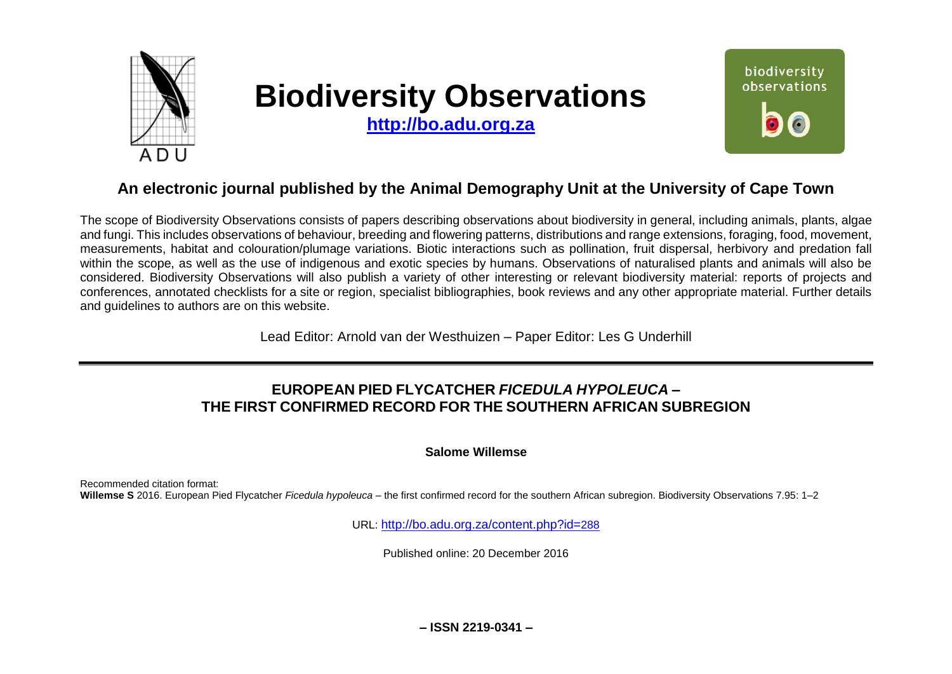

# **Biodiversity Observations**

**[http://bo.adu.org.za](http://bo.adu.org.za/)**



## **An electronic journal published by the Animal Demography Unit at the University of Cape Town**

The scope of Biodiversity Observations consists of papers describing observations about biodiversity in general, including animals, plants, algae and fungi. This includes observations of behaviour, breeding and flowering patterns, distributions and range extensions, foraging, food, movement, measurements, habitat and colouration/plumage variations. Biotic interactions such as pollination, fruit dispersal, herbivory and predation fall within the scope, as well as the use of indigenous and exotic species by humans. Observations of naturalised plants and animals will also be considered. Biodiversity Observations will also publish a variety of other interesting or relevant biodiversity material: reports of projects and conferences, annotated checklists for a site or region, specialist bibliographies, book reviews and any other appropriate material. Further details and guidelines to authors are on this website.

Lead Editor: Arnold van der Westhuizen – Paper Editor: Les G Underhill

## **EUROPEAN PIED FLYCATCHER** *FICEDULA HYPOLEUCA* **– THE FIRST CONFIRMED RECORD FOR THE SOUTHERN AFRICAN SUBREGION**

#### **Salome Willemse**

Recommended citation format: **Willemse S** 2016. European Pied Flycatcher *Ficedula hypoleuca* – the first confirmed record for the southern African subregion. Biodiversity Observations 7.95: 1–2

URL: [http://bo.adu.org.za/content.php?id=](http://bo.adu.org.za/content.php?id=288)288

Published online: 20 December 2016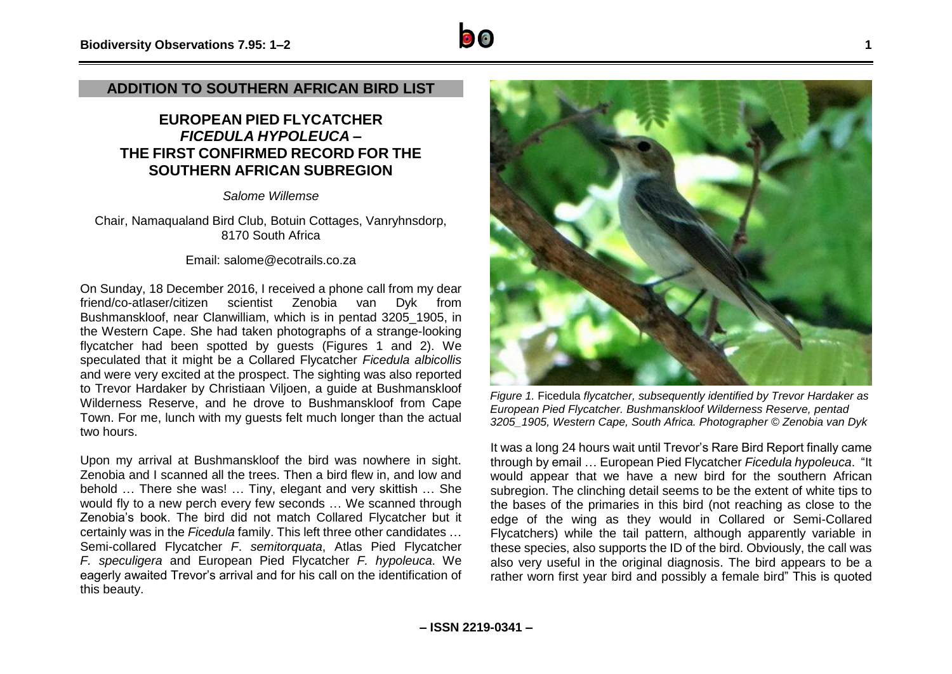#### **ADDITION TO SOUTHERN AFRICAN BIRD LIST**

### **EUROPEAN PIED FLYCATCHER** *FICEDULA HYPOLEUCA* **– THE FIRST CONFIRMED RECORD FOR THE SOUTHERN AFRICAN SUBREGION**

*Salome Willemse*

Chair, Namaqualand Bird Club, Botuin Cottages, Vanryhnsdorp, 8170 South Africa

Email: salome@ecotrails.co.za

On Sunday, 18 December 2016, I received a phone call from my dear friend/co-atlaser/citizen scientist Zenobia van Dyk from Bushmanskloof, near Clanwilliam, which is in pentad 3205\_1905, in the Western Cape. She had taken photographs of a strange-looking flycatcher had been spotted by guests (Figures 1 and 2). We speculated that it might be a Collared Flycatcher *Ficedula albicollis* and were very excited at the prospect. The sighting was also reported to Trevor Hardaker by Christiaan Viljoen, a guide at Bushmanskloof Wilderness Reserve, and he drove to Bushmanskloof from Cape Town. For me, lunch with my guests felt much longer than the actual two hours.

Upon my arrival at Bushmanskloof the bird was nowhere in sight. Zenobia and I scanned all the trees. Then a bird flew in, and low and behold … There she was! … Tiny, elegant and very skittish … She would fly to a new perch every few seconds … We scanned through Zenobia's book. The bird did not match Collared Flycatcher but it certainly was in the *Ficedula* family. This left three other candidates … Semi-collared Flycatcher *F*. *semitorquata*, Atlas Pied Flycatcher *F. speculigera* and European Pied Flycatcher *F. hypoleuca*. We eagerly awaited Trevor's arrival and for his call on the identification of this beauty.



*Figure 1.* Ficedula *flycatcher, subsequently identified by Trevor Hardaker as European Pied Flycatcher. Bushmanskloof Wilderness Reserve, pentad 3205\_1905, Western Cape, South Africa. Photographer © Zenobia van Dyk*

It was a long 24 hours wait until Trevor's Rare Bird Report finally came through by email … European Pied Flycatcher *Ficedula hypoleuca*. "It would appear that we have a new bird for the southern African subregion. The clinching detail seems to be the extent of white tips to the bases of the primaries in this bird (not reaching as close to the edge of the wing as they would in Collared or Semi-Collared Flycatchers) while the tail pattern, although apparently variable in these species, also supports the ID of the bird. Obviously, the call was also very useful in the original diagnosis. The bird appears to be a rather worn first year bird and possibly a female bird" This is quoted